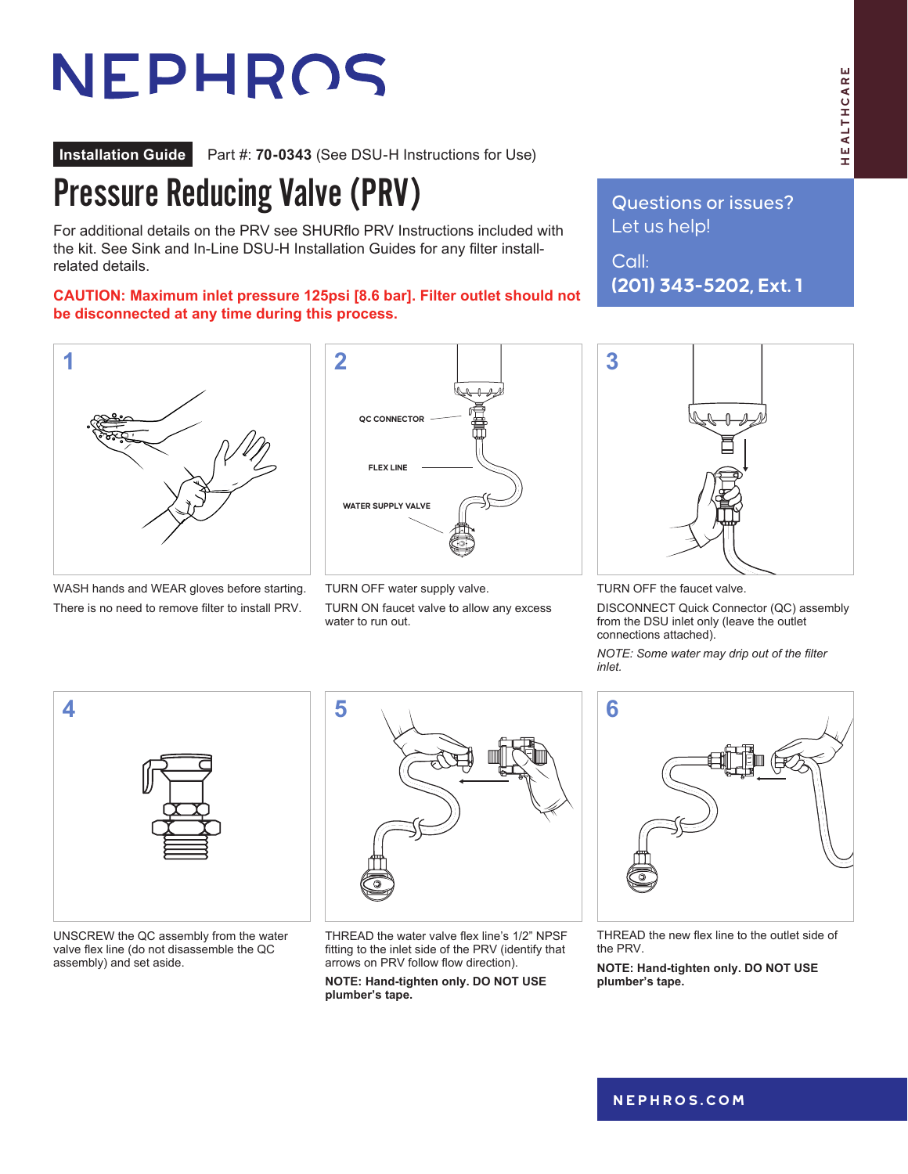## HEALTHCARE HEALTHCARE

# NEPHROS

**Installation Guide** Part #: **70-0343** (See DSU-H Instructions for Use)

#### Pressure Reducing Valve (PRV)

For additional details on the PRV see SHURflo PRV Instructions included with the kit. See Sink and In-Line DSU-H Installation Guides for any filter installrelated details.

**CAUTION: Maximum inlet pressure 125psi [8.6 bar]. Filter outlet should not be disconnected at any time during this process.**



WASH hands and WEAR gloves before starting. There is no need to remove filter to install PRV.



TURN OFF water supply valve.

TURN ON faucet valve to allow any excess water to run out.

Questions or issues? Let us help!

Call: **(201) 343-5202, Ext. 1**



TURN OFF the faucet valve.

DISCONNECT Quick Connector (QC) assembly from the DSU inlet only (leave the outlet connections attached).

*NOTE: Some water may drip out of the filter inlet.*



UNSCREW the QC assembly from the water valve flex line (do not disassemble the QC assembly) and set aside.



THREAD the water valve flex line's 1/2" NPSF fitting to the inlet side of the PRV (identify that arrows on PRV follow flow direction).

**NOTE: Hand-tighten only. DO NOT USE plumber's tape.**



THREAD the new flex line to the outlet side of the PRV.

**NOTE: Hand-tighten only. DO NOT USE plumber's tape.**